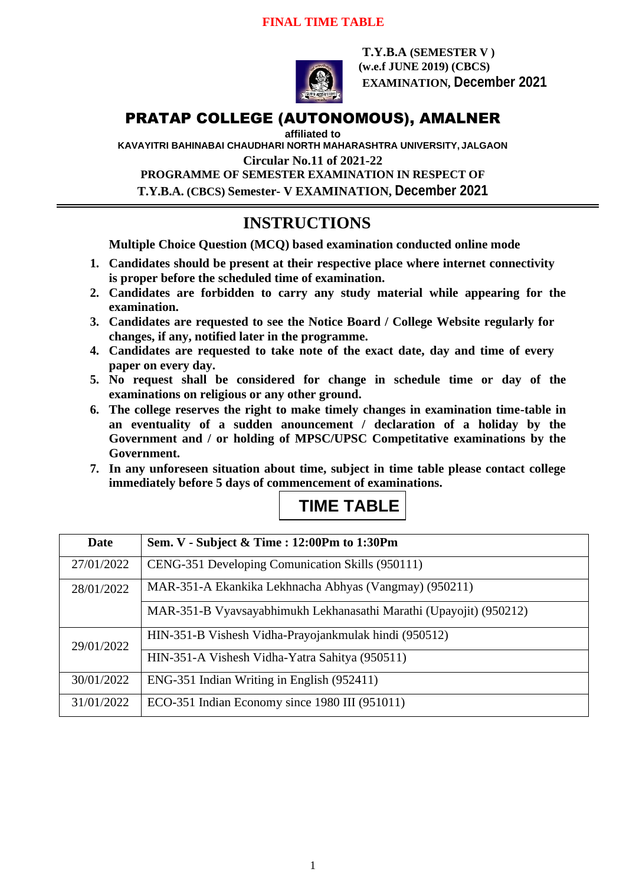#### **FINAL TIME TABLE**



**T.Y.B.A (SEMESTER V ) (w.e.f JUNE 2019) (CBCS) EXAMINATION, December 2021**

## PRATAP COLLEGE (AUTONOMOUS), AMALNER

**affiliated to** 

**KAVAYITRI BAHINABAI CHAUDHARI NORTH MAHARASHTRA UNIVERSITY, JALGAON**

**Circular No.11 of 2021-22**

**PROGRAMME OF SEMESTER EXAMINATION IN RESPECT OF T.Y.B.A. (CBCS) Semester- V EXAMINATION, December 2021**

# **INSTRUCTIONS**

**Multiple Choice Question (MCQ) based examination conducted online mode**

- **1. Candidates should be present at their respective place where internet connectivity is proper before the scheduled time of examination.**
- **2. Candidates are forbidden to carry any study material while appearing for the examination.**
- **3. Candidates are requested to see the Notice Board / College Website regularly for changes, if any, notified later in the programme.**
- **4. Candidates are requested to take note of the exact date, day and time of every paper on every day.**
- **5. No request shall be considered for change in schedule time or day of the examinations on religious or any other ground.**
- **6. The college reserves the right to make timely changes in examination time-table in an eventuality of a sudden anouncement / declaration of a holiday by the Government and / or holding of MPSC/UPSC Competitative examinations by the Government.**
- **7. In any unforeseen situation about time, subject in time table please contact college immediately before 5 days of commencement of examinations.**

|  | <b>TIME TABLE</b> |  |
|--|-------------------|--|
|  |                   |  |

| Date       | Sem. V - Subject & Time : 12:00Pm to 1:30Pm                        |  |
|------------|--------------------------------------------------------------------|--|
| 27/01/2022 | CENG-351 Developing Comunication Skills (950111)                   |  |
| 28/01/2022 | MAR-351-A Ekankika Lekhnacha Abhyas (Vangmay) (950211)             |  |
|            | MAR-351-B Vyavsayabhimukh Lekhanasathi Marathi (Upayojit) (950212) |  |
| 29/01/2022 | HIN-351-B Vishesh Vidha-Prayojankmulak hindi (950512)              |  |
|            | HIN-351-A Vishesh Vidha-Yatra Sahitya (950511)                     |  |
| 30/01/2022 | ENG-351 Indian Writing in English (952411)                         |  |
| 31/01/2022 | ECO-351 Indian Economy since 1980 III (951011)                     |  |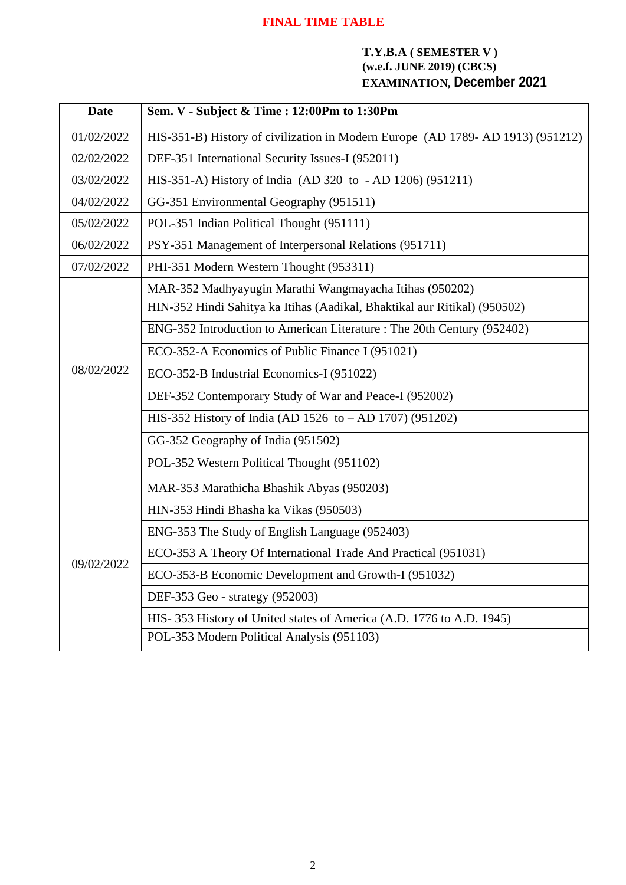## **FINAL TIME TABLE**

#### **T.Y.B.A ( SEMESTER V ) (w.e.f. JUNE 2019) (CBCS) EXAMINATION, December 2021**

| <b>Date</b> | Sem. V - Subject & Time : 12:00Pm to 1:30Pm                                    |
|-------------|--------------------------------------------------------------------------------|
| 01/02/2022  | HIS-351-B) History of civilization in Modern Europe (AD 1789-AD 1913) (951212) |
| 02/02/2022  | DEF-351 International Security Issues-I (952011)                               |
| 03/02/2022  | HIS-351-A) History of India (AD 320 to - AD 1206) (951211)                     |
| 04/02/2022  | GG-351 Environmental Geography (951511)                                        |
| 05/02/2022  | POL-351 Indian Political Thought (951111)                                      |
| 06/02/2022  | PSY-351 Management of Interpersonal Relations (951711)                         |
| 07/02/2022  | PHI-351 Modern Western Thought (953311)                                        |
|             | MAR-352 Madhyayugin Marathi Wangmayacha Itihas (950202)                        |
|             | HIN-352 Hindi Sahitya ka Itihas (Aadikal, Bhaktikal aur Ritikal) (950502)      |
|             | ENG-352 Introduction to American Literature: The 20th Century (952402)         |
|             | ECO-352-A Economics of Public Finance I (951021)                               |
| 08/02/2022  | ECO-352-B Industrial Economics-I (951022)                                      |
|             | DEF-352 Contemporary Study of War and Peace-I (952002)                         |
|             | HIS-352 History of India (AD 1526 to - AD 1707) (951202)                       |
|             | GG-352 Geography of India (951502)                                             |
|             | POL-352 Western Political Thought (951102)                                     |
|             | MAR-353 Marathicha Bhashik Abyas (950203)                                      |
|             | HIN-353 Hindi Bhasha ka Vikas (950503)                                         |
|             | ENG-353 The Study of English Language (952403)                                 |
|             | ECO-353 A Theory Of International Trade And Practical (951031)                 |
| 09/02/2022  | ECO-353-B Economic Development and Growth-I (951032)                           |
|             | DEF-353 Geo - strategy (952003)                                                |
|             | HIS-353 History of United states of America (A.D. 1776 to A.D. 1945)           |
|             | POL-353 Modern Political Analysis (951103)                                     |